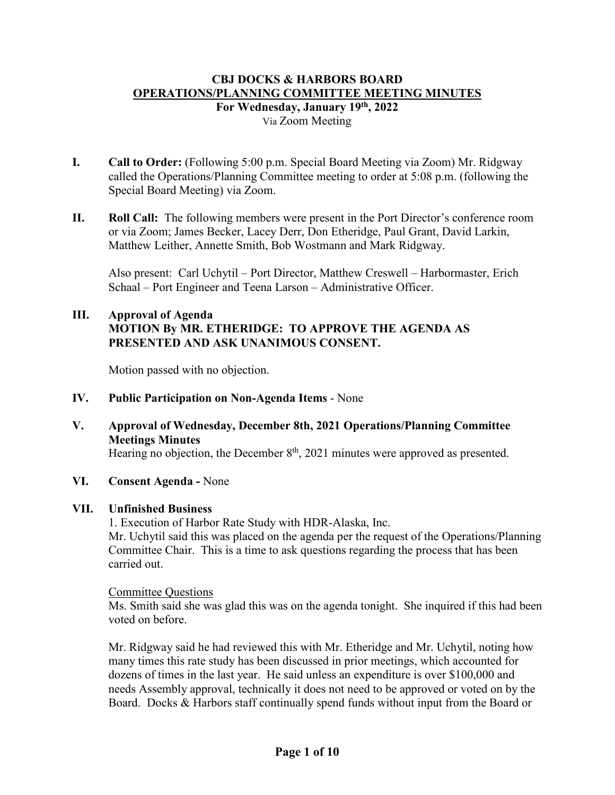## **CBJ DOCKS & HARBORS BOARD OPERATIONS/PLANNING COMMITTEE MEETING MINUTES For Wednesday, January 19th, 2022** Via Zoom Meeting

- **I. Call to Order:** (Following 5:00 p.m. Special Board Meeting via Zoom) Mr. Ridgway called the Operations/Planning Committee meeting to order at 5:08 p.m. (following the Special Board Meeting) via Zoom.
- **II. Roll Call:** The following members were present in the Port Director's conference room or via Zoom; James Becker, Lacey Derr, Don Etheridge, Paul Grant, David Larkin, Matthew Leither, Annette Smith, Bob Wostmann and Mark Ridgway.

Also present: Carl Uchytil – Port Director, Matthew Creswell – Harbormaster, Erich Schaal – Port Engineer and Teena Larson – Administrative Officer.

# **III. Approval of Agenda MOTION By MR. ETHERIDGE: TO APPROVE THE AGENDA AS PRESENTED AND ASK UNANIMOUS CONSENT.**

Motion passed with no objection.

- **IV. Public Participation on Non-Agenda Items** None
- **V. Approval of Wednesday, December 8th, 2021 Operations/Planning Committee Meetings Minutes**

Hearing no objection, the December  $8<sup>th</sup>$ , 2021 minutes were approved as presented.

**VI. Consent Agenda -** None

# **VII. Unfinished Business**

1. Execution of Harbor Rate Study with HDR-Alaska, Inc.

Mr. Uchytil said this was placed on the agenda per the request of the Operations/Planning Committee Chair. This is a time to ask questions regarding the process that has been carried out.

## Committee Questions

Ms. Smith said she was glad this was on the agenda tonight. She inquired if this had been voted on before.

Mr. Ridgway said he had reviewed this with Mr. Etheridge and Mr. Uchytil, noting how many times this rate study has been discussed in prior meetings, which accounted for dozens of times in the last year. He said unless an expenditure is over \$100,000 and needs Assembly approval, technically it does not need to be approved or voted on by the Board. Docks & Harbors staff continually spend funds without input from the Board or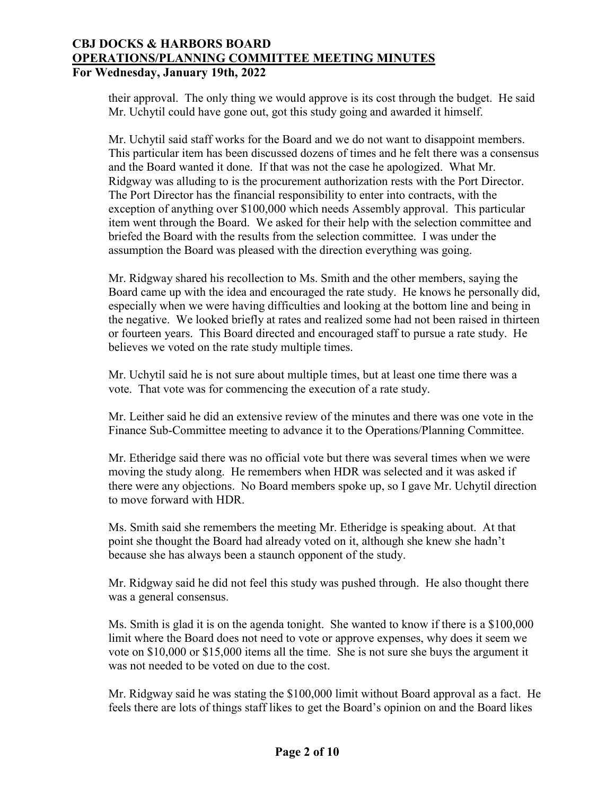their approval. The only thing we would approve is its cost through the budget. He said Mr. Uchytil could have gone out, got this study going and awarded it himself.

Mr. Uchytil said staff works for the Board and we do not want to disappoint members. This particular item has been discussed dozens of times and he felt there was a consensus and the Board wanted it done. If that was not the case he apologized. What Mr. Ridgway was alluding to is the procurement authorization rests with the Port Director. The Port Director has the financial responsibility to enter into contracts, with the exception of anything over \$100,000 which needs Assembly approval. This particular item went through the Board. We asked for their help with the selection committee and briefed the Board with the results from the selection committee. I was under the assumption the Board was pleased with the direction everything was going.

Mr. Ridgway shared his recollection to Ms. Smith and the other members, saying the Board came up with the idea and encouraged the rate study. He knows he personally did, especially when we were having difficulties and looking at the bottom line and being in the negative. We looked briefly at rates and realized some had not been raised in thirteen or fourteen years. This Board directed and encouraged staff to pursue a rate study. He believes we voted on the rate study multiple times.

Mr. Uchytil said he is not sure about multiple times, but at least one time there was a vote. That vote was for commencing the execution of a rate study.

Mr. Leither said he did an extensive review of the minutes and there was one vote in the Finance Sub-Committee meeting to advance it to the Operations/Planning Committee.

Mr. Etheridge said there was no official vote but there was several times when we were moving the study along. He remembers when HDR was selected and it was asked if there were any objections. No Board members spoke up, so I gave Mr. Uchytil direction to move forward with HDR.

Ms. Smith said she remembers the meeting Mr. Etheridge is speaking about. At that point she thought the Board had already voted on it, although she knew she hadn't because she has always been a staunch opponent of the study.

Mr. Ridgway said he did not feel this study was pushed through. He also thought there was a general consensus.

Ms. Smith is glad it is on the agenda tonight. She wanted to know if there is a \$100,000 limit where the Board does not need to vote or approve expenses, why does it seem we vote on \$10,000 or \$15,000 items all the time. She is not sure she buys the argument it was not needed to be voted on due to the cost.

Mr. Ridgway said he was stating the \$100,000 limit without Board approval as a fact. He feels there are lots of things staff likes to get the Board's opinion on and the Board likes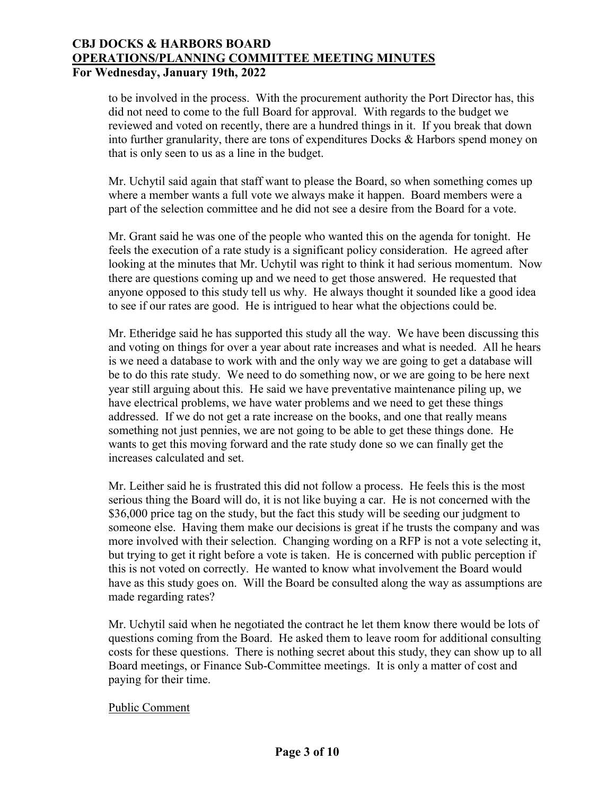to be involved in the process. With the procurement authority the Port Director has, this did not need to come to the full Board for approval. With regards to the budget we reviewed and voted on recently, there are a hundred things in it. If you break that down into further granularity, there are tons of expenditures Docks & Harbors spend money on that is only seen to us as a line in the budget.

Mr. Uchytil said again that staff want to please the Board, so when something comes up where a member wants a full vote we always make it happen. Board members were a part of the selection committee and he did not see a desire from the Board for a vote.

Mr. Grant said he was one of the people who wanted this on the agenda for tonight. He feels the execution of a rate study is a significant policy consideration. He agreed after looking at the minutes that Mr. Uchytil was right to think it had serious momentum. Now there are questions coming up and we need to get those answered. He requested that anyone opposed to this study tell us why. He always thought it sounded like a good idea to see if our rates are good. He is intrigued to hear what the objections could be.

Mr. Etheridge said he has supported this study all the way. We have been discussing this and voting on things for over a year about rate increases and what is needed. All he hears is we need a database to work with and the only way we are going to get a database will be to do this rate study. We need to do something now, or we are going to be here next year still arguing about this. He said we have preventative maintenance piling up, we have electrical problems, we have water problems and we need to get these things addressed. If we do not get a rate increase on the books, and one that really means something not just pennies, we are not going to be able to get these things done. He wants to get this moving forward and the rate study done so we can finally get the increases calculated and set.

Mr. Leither said he is frustrated this did not follow a process. He feels this is the most serious thing the Board will do, it is not like buying a car. He is not concerned with the \$36,000 price tag on the study, but the fact this study will be seeding our judgment to someone else. Having them make our decisions is great if he trusts the company and was more involved with their selection. Changing wording on a RFP is not a vote selecting it, but trying to get it right before a vote is taken. He is concerned with public perception if this is not voted on correctly. He wanted to know what involvement the Board would have as this study goes on. Will the Board be consulted along the way as assumptions are made regarding rates?

Mr. Uchytil said when he negotiated the contract he let them know there would be lots of questions coming from the Board. He asked them to leave room for additional consulting costs for these questions. There is nothing secret about this study, they can show up to all Board meetings, or Finance Sub-Committee meetings. It is only a matter of cost and paying for their time.

## Public Comment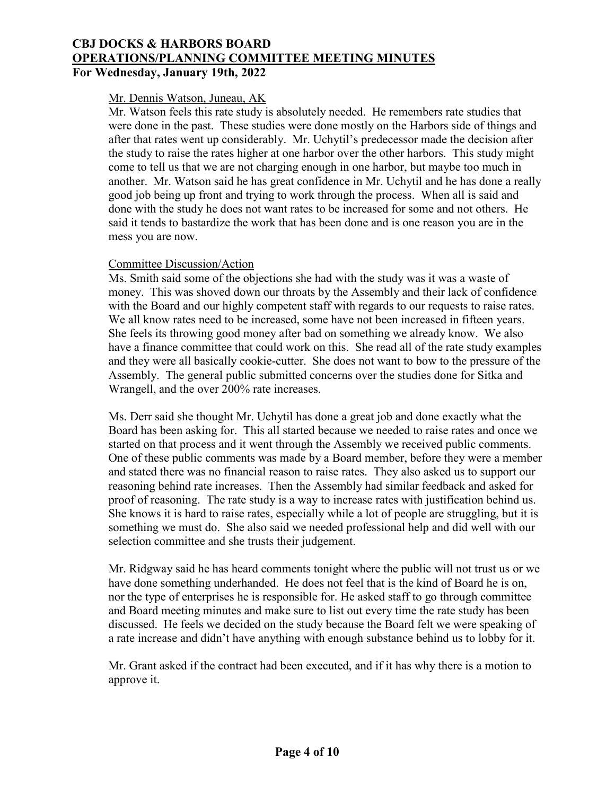### Mr. Dennis Watson, Juneau, AK

Mr. Watson feels this rate study is absolutely needed. He remembers rate studies that were done in the past. These studies were done mostly on the Harbors side of things and after that rates went up considerably. Mr. Uchytil's predecessor made the decision after the study to raise the rates higher at one harbor over the other harbors. This study might come to tell us that we are not charging enough in one harbor, but maybe too much in another. Mr. Watson said he has great confidence in Mr. Uchytil and he has done a really good job being up front and trying to work through the process. When all is said and done with the study he does not want rates to be increased for some and not others. He said it tends to bastardize the work that has been done and is one reason you are in the mess you are now.

#### Committee Discussion/Action

Ms. Smith said some of the objections she had with the study was it was a waste of money. This was shoved down our throats by the Assembly and their lack of confidence with the Board and our highly competent staff with regards to our requests to raise rates. We all know rates need to be increased, some have not been increased in fifteen years. She feels its throwing good money after bad on something we already know. We also have a finance committee that could work on this. She read all of the rate study examples and they were all basically cookie-cutter. She does not want to bow to the pressure of the Assembly. The general public submitted concerns over the studies done for Sitka and Wrangell, and the over 200% rate increases.

Ms. Derr said she thought Mr. Uchytil has done a great job and done exactly what the Board has been asking for. This all started because we needed to raise rates and once we started on that process and it went through the Assembly we received public comments. One of these public comments was made by a Board member, before they were a member and stated there was no financial reason to raise rates. They also asked us to support our reasoning behind rate increases. Then the Assembly had similar feedback and asked for proof of reasoning. The rate study is a way to increase rates with justification behind us. She knows it is hard to raise rates, especially while a lot of people are struggling, but it is something we must do. She also said we needed professional help and did well with our selection committee and she trusts their judgement.

Mr. Ridgway said he has heard comments tonight where the public will not trust us or we have done something underhanded. He does not feel that is the kind of Board he is on, nor the type of enterprises he is responsible for. He asked staff to go through committee and Board meeting minutes and make sure to list out every time the rate study has been discussed. He feels we decided on the study because the Board felt we were speaking of a rate increase and didn't have anything with enough substance behind us to lobby for it.

Mr. Grant asked if the contract had been executed, and if it has why there is a motion to approve it.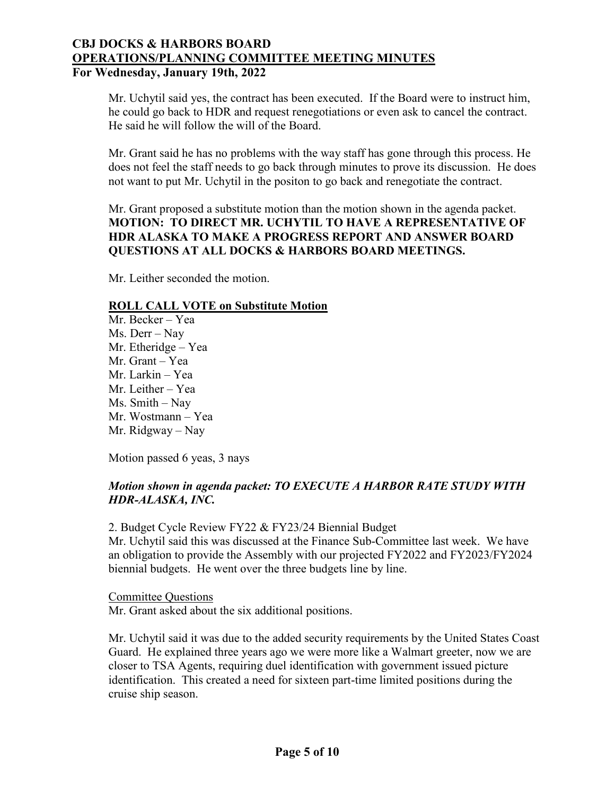Mr. Uchytil said yes, the contract has been executed. If the Board were to instruct him, he could go back to HDR and request renegotiations or even ask to cancel the contract. He said he will follow the will of the Board.

Mr. Grant said he has no problems with the way staff has gone through this process. He does not feel the staff needs to go back through minutes to prove its discussion. He does not want to put Mr. Uchytil in the positon to go back and renegotiate the contract.

Mr. Grant proposed a substitute motion than the motion shown in the agenda packet. **MOTION: TO DIRECT MR. UCHYTIL TO HAVE A REPRESENTATIVE OF HDR ALASKA TO MAKE A PROGRESS REPORT AND ANSWER BOARD QUESTIONS AT ALL DOCKS & HARBORS BOARD MEETINGS.**

Mr. Leither seconded the motion.

## **ROLL CALL VOTE on Substitute Motion**

Mr. Becker – Yea Ms. Derr – Nay Mr. Etheridge – Yea Mr. Grant – Yea Mr. Larkin – Yea Mr. Leither – Yea Ms. Smith – Nay Mr. Wostmann – Yea Mr. Ridgway – Nay

Motion passed 6 yeas, 3 nays

# *Motion shown in agenda packet: TO EXECUTE A HARBOR RATE STUDY WITH HDR-ALASKA, INC.*

2. Budget Cycle Review FY22 & FY23/24 Biennial Budget Mr. Uchytil said this was discussed at the Finance Sub-Committee last week. We have an obligation to provide the Assembly with our projected FY2022 and FY2023/FY2024 biennial budgets. He went over the three budgets line by line.

Committee Questions Mr. Grant asked about the six additional positions.

Mr. Uchytil said it was due to the added security requirements by the United States Coast Guard. He explained three years ago we were more like a Walmart greeter, now we are closer to TSA Agents, requiring duel identification with government issued picture identification. This created a need for sixteen part-time limited positions during the cruise ship season.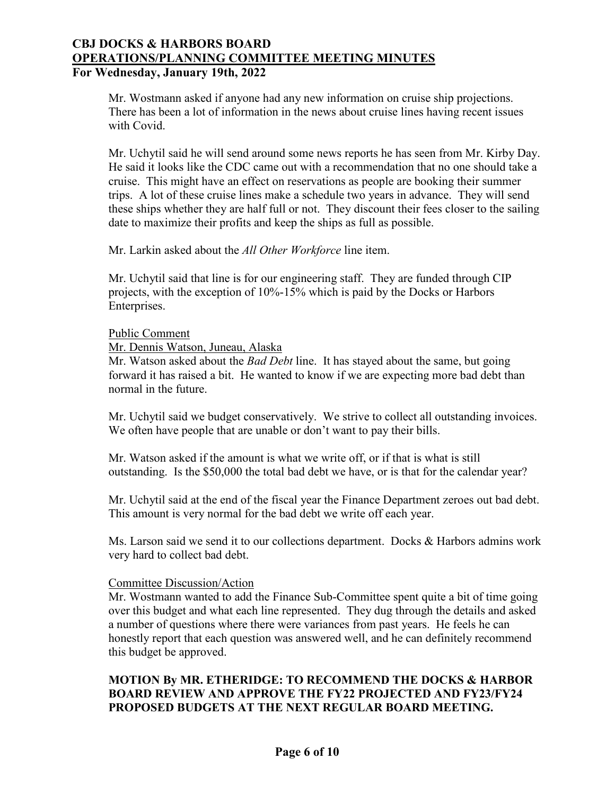Mr. Wostmann asked if anyone had any new information on cruise ship projections. There has been a lot of information in the news about cruise lines having recent issues with Covid.

Mr. Uchytil said he will send around some news reports he has seen from Mr. Kirby Day. He said it looks like the CDC came out with a recommendation that no one should take a cruise. This might have an effect on reservations as people are booking their summer trips. A lot of these cruise lines make a schedule two years in advance. They will send these ships whether they are half full or not. They discount their fees closer to the sailing date to maximize their profits and keep the ships as full as possible.

Mr. Larkin asked about the *All Other Workforce* line item.

Mr. Uchytil said that line is for our engineering staff. They are funded through CIP projects, with the exception of 10%-15% which is paid by the Docks or Harbors Enterprises.

#### Public Comment

Mr. Dennis Watson, Juneau, Alaska

Mr. Watson asked about the *Bad Debt* line. It has stayed about the same, but going forward it has raised a bit. He wanted to know if we are expecting more bad debt than normal in the future.

Mr. Uchytil said we budget conservatively. We strive to collect all outstanding invoices. We often have people that are unable or don't want to pay their bills.

Mr. Watson asked if the amount is what we write off, or if that is what is still outstanding. Is the \$50,000 the total bad debt we have, or is that for the calendar year?

Mr. Uchytil said at the end of the fiscal year the Finance Department zeroes out bad debt. This amount is very normal for the bad debt we write off each year.

Ms. Larson said we send it to our collections department. Docks & Harbors admins work very hard to collect bad debt.

## Committee Discussion/Action

Mr. Wostmann wanted to add the Finance Sub-Committee spent quite a bit of time going over this budget and what each line represented. They dug through the details and asked a number of questions where there were variances from past years. He feels he can honestly report that each question was answered well, and he can definitely recommend this budget be approved.

# **MOTION By MR. ETHERIDGE: TO RECOMMEND THE DOCKS & HARBOR BOARD REVIEW AND APPROVE THE FY22 PROJECTED AND FY23/FY24 PROPOSED BUDGETS AT THE NEXT REGULAR BOARD MEETING.**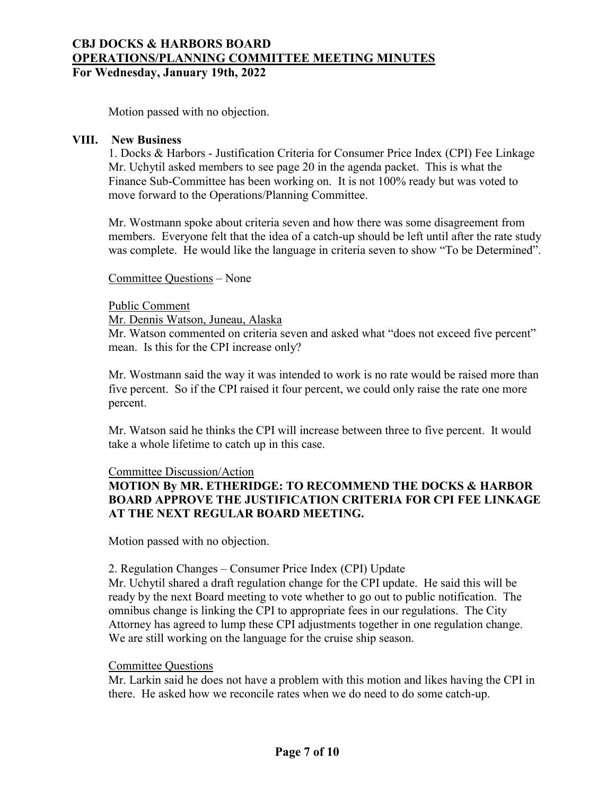Motion passed with no objection.

#### **VIII. New Business**

1. Docks & Harbors - Justification Criteria for Consumer Price Index (CPI) Fee Linkage Mr. Uchytil asked members to see page 20 in the agenda packet. This is what the Finance Sub-Committee has been working on. It is not 100% ready but was voted to move forward to the Operations/Planning Committee.

Mr. Wostmann spoke about criteria seven and how there was some disagreement from members. Everyone felt that the idea of a catch-up should be left until after the rate study was complete. He would like the language in criteria seven to show "To be Determined".

Committee Questions – None

#### Public Comment

Mr. Dennis Watson, Juneau, Alaska

Mr. Watson commented on criteria seven and asked what "does not exceed five percent" mean. Is this for the CPI increase only?

Mr. Wostmann said the way it was intended to work is no rate would be raised more than five percent. So if the CPI raised it four percent, we could only raise the rate one more percent.

Mr. Watson said he thinks the CPI will increase between three to five percent. It would take a whole lifetime to catch up in this case.

## Committee Discussion/Action

# **MOTION By MR. ETHERIDGE: TO RECOMMEND THE DOCKS & HARBOR BOARD APPROVE THE JUSTIFICATION CRITERIA FOR CPI FEE LINKAGE AT THE NEXT REGULAR BOARD MEETING.**

Motion passed with no objection.

## 2. Regulation Changes – Consumer Price Index (CPI) Update

Mr. Uchytil shared a draft regulation change for the CPI update. He said this will be ready by the next Board meeting to vote whether to go out to public notification. The omnibus change is linking the CPI to appropriate fees in our regulations. The City Attorney has agreed to lump these CPI adjustments together in one regulation change. We are still working on the language for the cruise ship season.

## Committee Questions

Mr. Larkin said he does not have a problem with this motion and likes having the CPI in there. He asked how we reconcile rates when we do need to do some catch-up.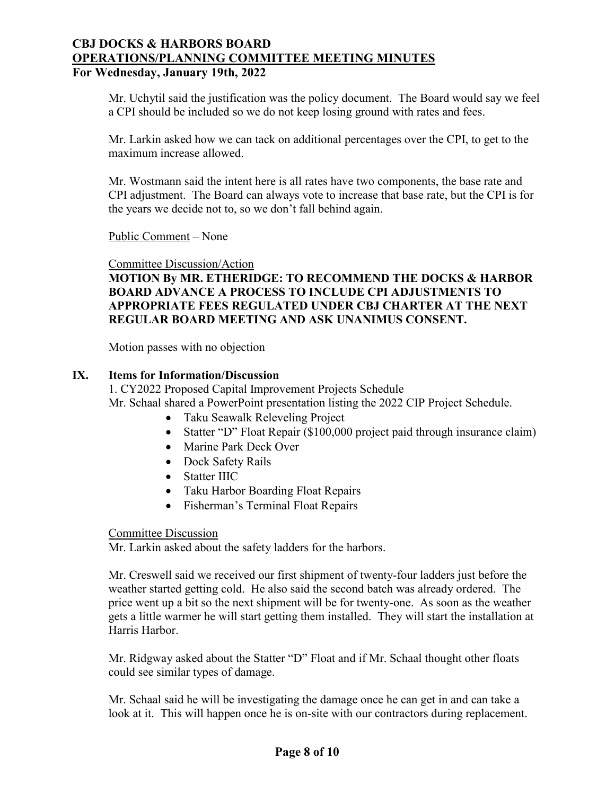Mr. Uchytil said the justification was the policy document. The Board would say we feel a CPI should be included so we do not keep losing ground with rates and fees.

Mr. Larkin asked how we can tack on additional percentages over the CPI, to get to the maximum increase allowed.

Mr. Wostmann said the intent here is all rates have two components, the base rate and CPI adjustment. The Board can always vote to increase that base rate, but the CPI is for the years we decide not to, so we don't fall behind again.

Public Comment – None

Committee Discussion/Action

**MOTION By MR. ETHERIDGE: TO RECOMMEND THE DOCKS & HARBOR BOARD ADVANCE A PROCESS TO INCLUDE CPI ADJUSTMENTS TO APPROPRIATE FEES REGULATED UNDER CBJ CHARTER AT THE NEXT REGULAR BOARD MEETING AND ASK UNANIMUS CONSENT.**

Motion passes with no objection

## **IX. Items for Information/Discussion**

1. CY2022 Proposed Capital Improvement Projects Schedule Mr. Schaal shared a PowerPoint presentation listing the 2022 CIP Project Schedule.

- Taku Seawalk Releveling Project
- Statter "D" Float Repair (\$100,000 project paid through insurance claim)
- Marine Park Deck Over
- Dock Safety Rails
- Statter IIIC
- Taku Harbor Boarding Float Repairs
- Fisherman's Terminal Float Repairs

#### Committee Discussion

Mr. Larkin asked about the safety ladders for the harbors.

Mr. Creswell said we received our first shipment of twenty-four ladders just before the weather started getting cold. He also said the second batch was already ordered. The price went up a bit so the next shipment will be for twenty-one. As soon as the weather gets a little warmer he will start getting them installed. They will start the installation at Harris Harbor.

Mr. Ridgway asked about the Statter "D" Float and if Mr. Schaal thought other floats could see similar types of damage.

Mr. Schaal said he will be investigating the damage once he can get in and can take a look at it. This will happen once he is on-site with our contractors during replacement.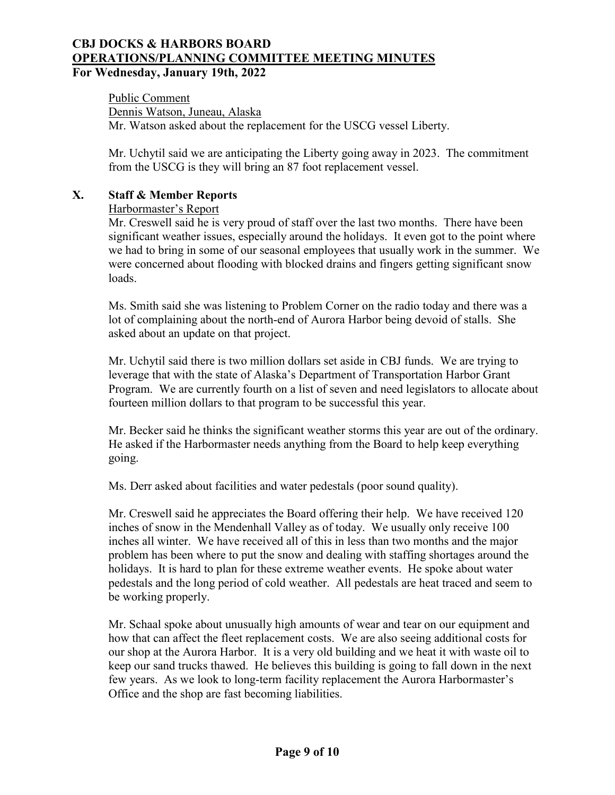Public Comment Dennis Watson, Juneau, Alaska Mr. Watson asked about the replacement for the USCG vessel Liberty.

Mr. Uchytil said we are anticipating the Liberty going away in 2023. The commitment from the USCG is they will bring an 87 foot replacement vessel.

# **X. Staff & Member Reports**

Harbormaster's Report

Mr. Creswell said he is very proud of staff over the last two months. There have been significant weather issues, especially around the holidays. It even got to the point where we had to bring in some of our seasonal employees that usually work in the summer. We were concerned about flooding with blocked drains and fingers getting significant snow loads.

Ms. Smith said she was listening to Problem Corner on the radio today and there was a lot of complaining about the north-end of Aurora Harbor being devoid of stalls. She asked about an update on that project.

Mr. Uchytil said there is two million dollars set aside in CBJ funds. We are trying to leverage that with the state of Alaska's Department of Transportation Harbor Grant Program. We are currently fourth on a list of seven and need legislators to allocate about fourteen million dollars to that program to be successful this year.

Mr. Becker said he thinks the significant weather storms this year are out of the ordinary. He asked if the Harbormaster needs anything from the Board to help keep everything going.

Ms. Derr asked about facilities and water pedestals (poor sound quality).

Mr. Creswell said he appreciates the Board offering their help. We have received 120 inches of snow in the Mendenhall Valley as of today. We usually only receive 100 inches all winter. We have received all of this in less than two months and the major problem has been where to put the snow and dealing with staffing shortages around the holidays. It is hard to plan for these extreme weather events. He spoke about water pedestals and the long period of cold weather. All pedestals are heat traced and seem to be working properly.

Mr. Schaal spoke about unusually high amounts of wear and tear on our equipment and how that can affect the fleet replacement costs. We are also seeing additional costs for our shop at the Aurora Harbor. It is a very old building and we heat it with waste oil to keep our sand trucks thawed. He believes this building is going to fall down in the next few years. As we look to long-term facility replacement the Aurora Harbormaster's Office and the shop are fast becoming liabilities.